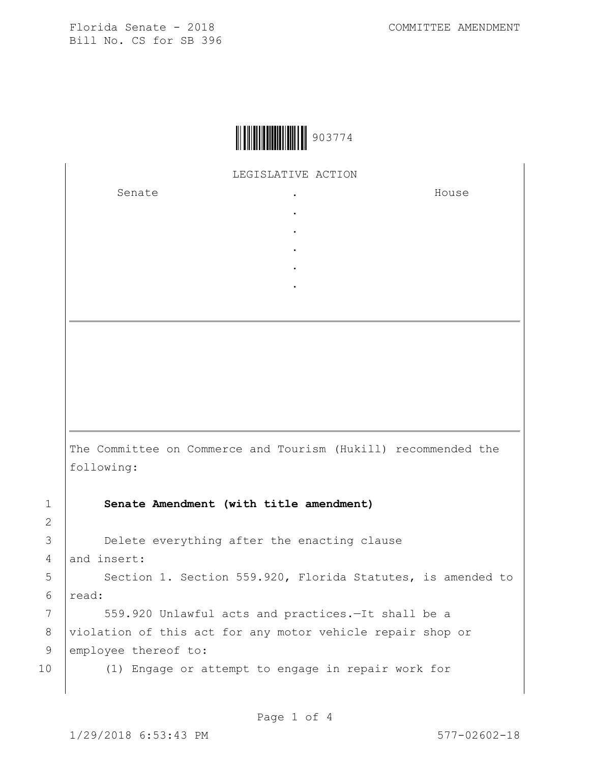

LEGISLATIVE ACTION

. . . . .

Senate the senate of the senate of the senate of  $\cdot$ 

House

The Committee on Commerce and Tourism (Hukill) recommended the following:

1 **Senate Amendment (with title amendment)**

3 **Delete everything after the enacting clause** 

4 and insert:

2

5 | Section 1. Section 559.920, Florida Statutes, is amended to 6 read:

7 | 559.920 Unlawful acts and practices. - It shall be a 8 violation of this act for any motor vehicle repair shop or 9 employee thereof to:

10 (1) Engage or attempt to engage in repair work for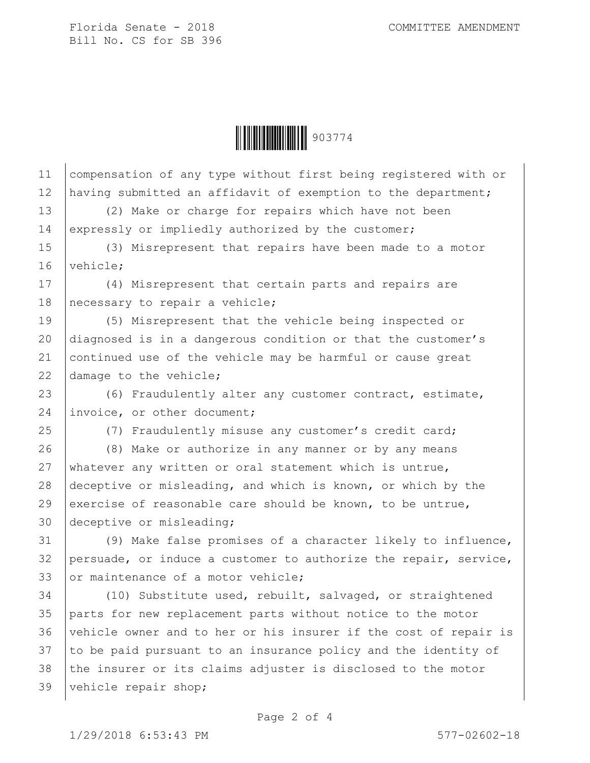

11 compensation of any type without first being registered with or 12 having submitted an affidavit of exemption to the department; 13 (2) Make or charge for repairs which have not been 14 expressly or impliedly authorized by the customer; 15 (3) Misrepresent that repairs have been made to a motor 16 vehicle: 17 (4) Misrepresent that certain parts and repairs are 18 | necessary to repair a vehicle; 19 (5) Misrepresent that the vehicle being inspected or 20 diagnosed is in a dangerous condition or that the customer's 21 continued use of the vehicle may be harmful or cause great 22 damage to the vehicle; 23 (6) Fraudulently alter any customer contract, estimate, 24 invoice, or other document; 25 (7) Fraudulently misuse any customer's credit card; 26 (8) Make or authorize in any manner or by any means 27 whatever any written or oral statement which is untrue, 28 deceptive or misleading, and which is known, or which by the 29 exercise of reasonable care should be known, to be untrue, 30 deceptive or misleading; 31 (9) Make false promises of a character likely to influence,  $32$  persuade, or induce a customer to authorize the repair, service, 33 or maintenance of a motor vehicle; 34 (10) Substitute used, rebuilt, salvaged, or straightened 35 parts for new replacement parts without notice to the motor 36 vehicle owner and to her or his insurer if the cost of repair is 37 to be paid pursuant to an insurance policy and the identity of 38 the insurer or its claims adjuster is disclosed to the motor 39 vehicle repair shop;

1/29/2018 6:53:43 PM 577-02602-18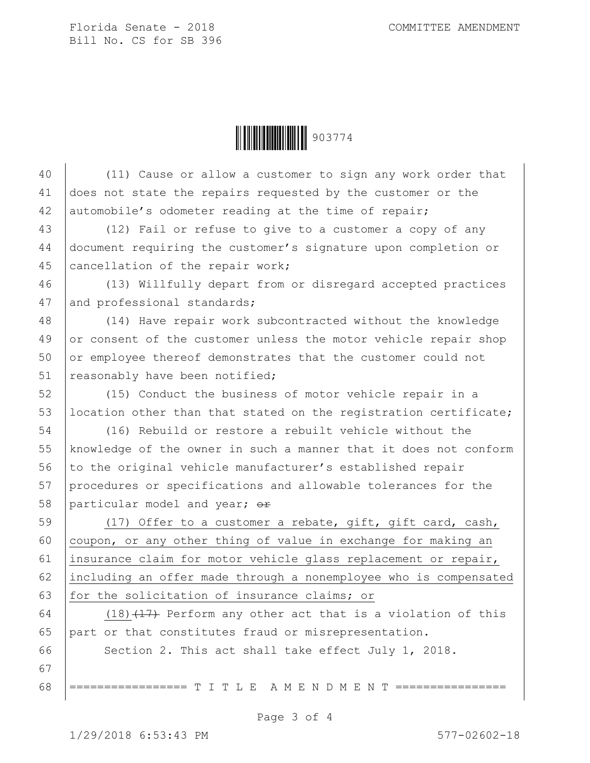Ì903774>Î903774

40 (11) Cause or allow a customer to sign any work order that 41 does not state the repairs requested by the customer or the 42 automobile's odometer reading at the time of repair; 43 (12) Fail or refuse to give to a customer a copy of any 44 document requiring the customer's signature upon completion or 45 cancellation of the repair work; 46 (13) Willfully depart from or disregard accepted practices 47 and professional standards; 48 (14) Have repair work subcontracted without the knowledge 49 or consent of the customer unless the motor vehicle repair shop 50 or employee thereof demonstrates that the customer could not 51 reasonably have been notified; 52 (15) Conduct the business of motor vehicle repair in a 53 | location other than that stated on the registration certificate; 54 (16) Rebuild or restore a rebuilt vehicle without the 55 knowledge of the owner in such a manner that it does not conform 56 to the original vehicle manufacturer's established repair 57 procedures or specifications and allowable tolerances for the 58 particular model and year;  $\Theta$ r 59 (17) Offer to a customer a rebate, gift, gift card, cash, 60  $\vert$  coupon, or any other thing of value in exchange for making an 61 insurance claim for motor vehicle glass replacement or repair, 62 including an offer made through a nonemployee who is compensated 63 for the solicitation of insurance claims; or 64 (18) $(17)$  Perform any other act that is a violation of this 65 part or that constitutes fraud or misrepresentation. 66 Section 2. This act shall take effect July 1, 2018. 67 68 |================ T I T L E A M E N D M E N T ========